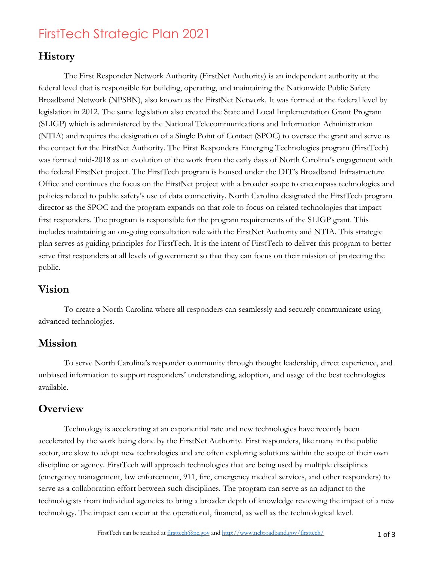# FirstTech Strategic Plan 2021

## **History**

The First Responder Network Authority (FirstNet Authority) is an independent authority at the federal level that is responsible for building, operating, and maintaining the Nationwide Public Safety Broadband Network (NPSBN), also known as the FirstNet Network. It was formed at the federal level by legislation in 2012. The same legislation also created the State and Local Implementation Grant Program (SLIGP) which is administered by the National Telecommunications and Information Administration (NTIA) and requires the designation of a Single Point of Contact (SPOC) to oversee the grant and serve as the contact for the FirstNet Authority. The First Responders Emerging Technologies program (FirstTech) was formed mid-2018 as an evolution of the work from the early days of North Carolina's engagement with the federal FirstNet project. The FirstTech program is housed under the DIT's Broadband Infrastructure Office and continues the focus on the FirstNet project with a broader scope to encompass technologies and policies related to public safety's use of data connectivity. North Carolina designated the FirstTech program director as the SPOC and the program expands on that role to focus on related technologies that impact first responders. The program is responsible for the program requirements of the SLIGP grant. This includes maintaining an on-going consultation role with the FirstNet Authority and NTIA. This strategic plan serves as guiding principles for FirstTech. It is the intent of FirstTech to deliver this program to better serve first responders at all levels of government so that they can focus on their mission of protecting the public.

### **Vision**

To create a North Carolina where all responders can seamlessly and securely communicate using advanced technologies.

### **Mission**

To serve North Carolina's responder community through thought leadership, direct experience, and unbiased information to support responders' understanding, adoption, and usage of the best technologies available.

## **Overview**

Technology is accelerating at an exponential rate and new technologies have recently been accelerated by the work being done by the FirstNet Authority. First responders, like many in the public sector, are slow to adopt new technologies and are often exploring solutions within the scope of their own discipline or agency. FirstTech will approach technologies that are being used by multiple disciplines (emergency management, law enforcement, 911, fire, emergency medical services, and other responders) to serve as a collaboration effort between such disciplines. The program can serve as an adjunct to the technologists from individual agencies to bring a broader depth of knowledge reviewing the impact of a new technology. The impact can occur at the operational, financial, as well as the technological level.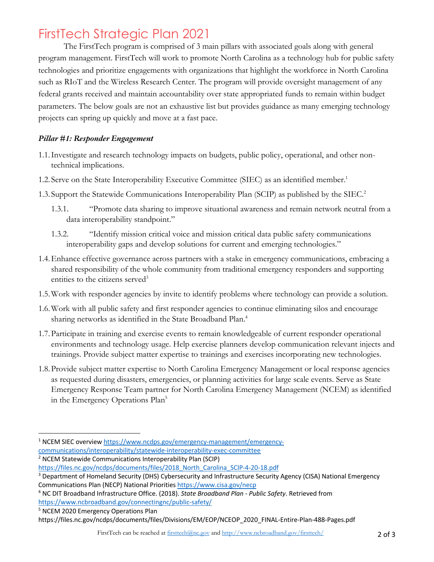## FirstTech Strategic Plan 2021

The FirstTech program is comprised of 3 main pillars with associated goals along with general program management. FirstTech will work to promote North Carolina as a technology hub for public safety technologies and prioritize engagements with organizations that highlight the workforce in North Carolina such as RIoT and the Wireless Research Center. The program will provide oversight management of any federal grants received and maintain accountability over state appropriated funds to remain within budget parameters. The below goals are not an exhaustive list but provides guidance as many emerging technology projects can spring up quickly and move at a fast pace.

#### *Pillar #1: Responder Engagement*

- 1.1.Investigate and research technology impacts on budgets, public policy, operational, and other nontechnical implications.
- 1.2. Serve on the State Interoperability Executive Committee (SIEC) as an identified member.<sup>1</sup>
- 1.3. Support the Statewide Communications Interoperability Plan (SCIP) as published by the SIEC. 2
	- 1.3.1. "Promote data sharing to improve situational awareness and remain network neutral from a data interoperability standpoint."
	- 1.3.2. "Identify mission critical voice and mission critical data public safety communications interoperability gaps and develop solutions for current and emerging technologies."
- 1.4.Enhance effective governance across partners with a stake in emergency communications, embracing a shared responsibility of the whole community from traditional emergency responders and supporting entities to the citizens served<sup>3</sup>
- 1.5.Work with responder agencies by invite to identify problems where technology can provide a solution.
- 1.6.Work with all public safety and first responder agencies to continue eliminating silos and encourage sharing networks as identified in the State Broadband Plan.4
- 1.7.Participate in training and exercise events to remain knowledgeable of current responder operational environments and technology usage. Help exercise planners develop communication relevant injects and trainings. Provide subject matter expertise to trainings and exercises incorporating new technologies.
- 1.8.Provide subject matter expertise to North Carolina Emergency Management or local response agencies as requested during disasters, emergencies, or planning activities for large scale events. Serve as State Emergency Response Team partner for North Carolina Emergency Management (NCEM) as identified in the Emergency Operations Plan<sup>5</sup>
- <sup>1</sup> NCEM SIEC overview https://www.ncdps.gov/emergency-management/emergency-
- communications/interoperability/statewide-interoperability-exec-committee

<sup>5</sup> NCEM 2020 Emergency Operations Plan

<sup>&</sup>lt;sup>2</sup> NCEM Statewide Communications Interoperability Plan (SCIP)

https://files.nc.gov/ncdps/documents/files/2018\_North\_Carolina\_SCIP-4-20-18.pdf

<sup>&</sup>lt;sup>3</sup> Department of Homeland Security (DHS) Cybersecurity and Infrastructure Security Agency (CISA) National Emergency Communications Plan (NECP) National Priorities https://www.cisa.gov/necp

<sup>4</sup> NC DIT Broadband Infrastructure Office. (2018). *State Broadband Plan - Public Safety*. Retrieved from https://www.ncbroadband.gov/connectingnc/public-safety/

https://files.nc.gov/ncdps/documents/files/Divisions/EM/EOP/NCEOP\_2020\_FINAL-Entire-Plan-488-Pages.pdf